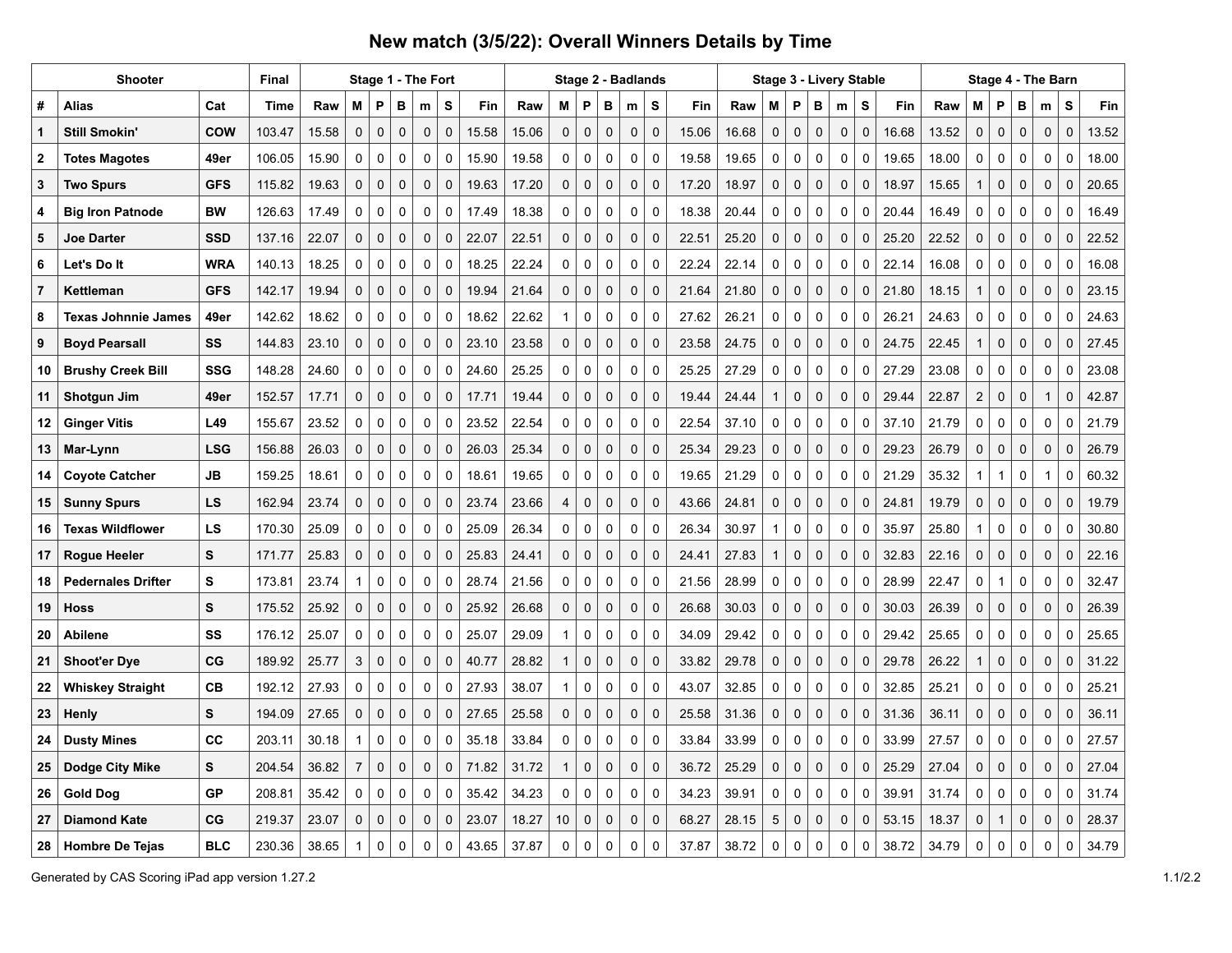## **New match (3/5/22): Overall Winners Details by Time**

|                | <b>Shooter</b>             |            | <b>Final</b> |       |                |             | Stage 1 - The Fort |             |             |       |       |                |             |             | Stage 2 - Badlands |             |       |       |             |             |             | Stage 3 - Livery Stable |             |       |       |                |              |              | Stage 4 - The Barn |             |       |
|----------------|----------------------------|------------|--------------|-------|----------------|-------------|--------------------|-------------|-------------|-------|-------|----------------|-------------|-------------|--------------------|-------------|-------|-------|-------------|-------------|-------------|-------------------------|-------------|-------|-------|----------------|--------------|--------------|--------------------|-------------|-------|
| #              | <b>Alias</b>               | Cat        | Time         | Raw   | м              | P           | в                  | m           | S           | Fin   | Raw   | М              | P           | в           | m                  | S           | Fin   | Raw   | М           | P           | В           | m                       | S           | Fin   | Raw   | Μ              | Ρ            | в            | m                  | S           | Fin   |
| $\mathbf 1$    | <b>Still Smokin'</b>       | <b>COW</b> | 103.47       | 15.58 | $\mathbf 0$    | $\mathbf 0$ | $\mathbf 0$        | $\pmb{0}$   | $\mathbf 0$ | 15.58 | 15.06 | $\mathbf{0}$   | $\mathbf 0$ | $\mathbf 0$ | 0                  | $\mathbf 0$ | 15.06 | 16.68 | $\mathbf 0$ | $\mathbf 0$ | $\mathbf 0$ | $\mathbf 0$             | $\mathbf 0$ | 16.68 | 13.52 | 0              | $\pmb{0}$    | 0            | $\mathbf 0$        | $\mathbf 0$ | 13.52 |
| $\bf{2}$       | <b>Totes Magotes</b>       | 49er       | 106.05       | 15.90 | 0              | $\mathbf 0$ | $\mathbf 0$        | 0           | 0           | 15.90 | 19.58 | $\mathbf 0$    | $\mathbf 0$ | $\mathbf 0$ | 0                  | $\mathbf 0$ | 19.58 | 19.65 | $\mathbf 0$ | $\mathbf 0$ | $\mathbf 0$ | 0                       | $\mathbf 0$ | 19.65 | 18.00 | 0              | 0            | 0            | $\pmb{0}$          | $\mathbf 0$ | 18.00 |
| 3              | <b>Two Spurs</b>           | <b>GFS</b> | 115.82       | 19.63 | $\mathbf 0$    | $\mathbf 0$ | $\mathbf 0$        | 0           | $\mathbf 0$ | 19.63 | 17.20 | $\mathbf 0$    | $\mathbf 0$ | $\mathbf 0$ | 0                  | $\mathbf 0$ | 17.20 | 18.97 | $\mathbf 0$ | $\mathbf 0$ | $\mathbf 0$ | $\mathbf 0$             | $\mathbf 0$ | 18.97 | 15.65 | 1              | $\mathbf 0$  | 0            | $\mathbf 0$        | $\mathbf 0$ | 20.65 |
| 4              | <b>Big Iron Patnode</b>    | <b>BW</b>  | 126.63       | 17.49 | $\mathbf 0$    | $\mathbf 0$ | $\mathbf 0$        | 0           | $\pmb{0}$   | 17.49 | 18.38 | 0              | 0           | $\mathbf 0$ | 0                  | $\mathbf 0$ | 18.38 | 20.44 | $\mathbf 0$ | $\mathbf 0$ | $\mathbf 0$ | 0                       | $\mathbf 0$ | 20.44 | 16.49 | $\mathbf 0$    | 0            | 0            | 0                  | $\mathbf 0$ | 16.49 |
| 5              | <b>Joe Darter</b>          | <b>SSD</b> | 137.16       | 22.07 | $\mathbf 0$    | $\mathbf 0$ | $\mathbf 0$        | $\mathbf 0$ | $\mathbf 0$ | 22.07 | 22.51 | $\mathbf{0}$   | $\mathbf 0$ | $\mathbf 0$ | 0                  | $\mathbf 0$ | 22.51 | 25.20 | $\mathbf 0$ | $\mathbf 0$ | $\mathbf 0$ | $\mathbf 0$             | $\mathbf 0$ | 25.20 | 22.52 | 0              | 0            | 0            | $\mathbf 0$        | $\mathbf 0$ | 22.52 |
| 6              | Let's Do It                | <b>WRA</b> | 140.13       | 18.25 | 0              | $\mathbf 0$ | $\mathbf 0$        | 0           | $\mathbf 0$ | 18.25 | 22.24 | 0              | 0           | $\mathbf 0$ | 0                  | $\mathbf 0$ | 22.24 | 22.14 | $\mathbf 0$ | $\mathbf 0$ | $\mathbf 0$ | $\mathbf 0$             | $\mathbf 0$ | 22.14 | 16.08 | $\Omega$       | 0            | $\mathbf 0$  | $\mathbf 0$        | $\mathbf 0$ | 16.08 |
| $\overline{7}$ | Kettleman                  | <b>GFS</b> | 142.17       | 19.94 | 0              | $\mathbf 0$ | $\mathbf 0$        | 0           | $\mathbf 0$ | 19.94 | 21.64 | 0              | $\mathbf 0$ | $\mathbf 0$ | 0                  | $\mathbf 0$ | 21.64 | 21.80 | $\Omega$    | $\mathbf 0$ | $\mathbf 0$ | $\mathbf 0$             | $\mathbf 0$ | 21.80 | 18.15 | 1              | 0            | 0            | $\mathbf 0$        | $\mathbf 0$ | 23.15 |
| 8              | <b>Texas Johnnie James</b> | 49er       | 142.62       | 18.62 | 0              | $\mathbf 0$ | $\mathbf 0$        | 0           | 0           | 18.62 | 22.62 | $\mathbf{1}$   | 0           | $\mathbf 0$ | 0                  | $\mathbf 0$ | 27.62 | 26.21 | $\mathbf 0$ | 0           | $\mathbf 0$ | 0                       | 0           | 26.21 | 24.63 | $\mathbf 0$    | 0            | $\mathbf 0$  | 0                  | $\mathbf 0$ | 24.63 |
| 9              | <b>Boyd Pearsall</b>       | SS         | 144.83       | 23.10 | $\mathbf 0$    | $\mathbf 0$ | 0                  | 0           | $\mathbf 0$ | 23.10 | 23.58 | 0              | $\mathbf 0$ | 0           | 0                  | $\mathbf 0$ | 23.58 | 24.75 | $\mathbf 0$ | $\mathbf 0$ | $\mathbf 0$ | 0                       | $\mathbf 0$ | 24.75 | 22.45 | 1              | 0            | $\mathbf 0$  | $\mathbf 0$        | $\mathbf 0$ | 27.45 |
| 10             | <b>Brushy Creek Bill</b>   | SSG        | 148.28       | 24.60 | 0              | $\mathbf 0$ | $\mathbf 0$        | 0           | $\mathbf 0$ | 24.60 | 25.25 | $\mathbf 0$    | 0           | $\mathbf 0$ | 0                  | $\mathbf 0$ | 25.25 | 27.29 | $\mathbf 0$ | $\mathbf 0$ | $\mathbf 0$ | $\mathbf 0$             | $\mathbf 0$ | 27.29 | 23.08 | $\mathbf 0$    | 0            | 0            | $\mathbf 0$        | $\mathbf 0$ | 23.08 |
| 11             | Shotgun Jim                | 49er       | 152.57       | 17.71 | $\mathbf 0$    | $\mathbf 0$ | 0                  | 0           | $\mathbf 0$ | 17.71 | 19.44 | 0              | $\mathbf 0$ | 0           | 0                  | $\mathbf 0$ | 19.44 | 24.44 | 1           | $\mathbf 0$ | $\mathbf 0$ | 0                       | $\mathbf 0$ | 29.44 | 22.87 | $\overline{c}$ | 0            | 0            | $\mathbf{1}$       | $\mathbf 0$ | 42.87 |
| 12             | <b>Ginger Vitis</b>        | L49        | 155.67       | 23.52 | 0              | $\mathbf 0$ | $\mathbf 0$        | 0           | 0           | 23.52 | 22.54 | 0              | 0           | $\mathbf 0$ | 0                  | 0           | 22.54 | 37.10 | $\mathbf 0$ | 0           | $\mathbf 0$ | $\mathbf 0$             | 0           | 37.10 | 21.79 | $\mathbf 0$    | 0            | $\mathbf 0$  | 0                  | $\mathbf 0$ | 21.79 |
| 13             | Mar-Lynn                   | <b>LSG</b> | 156.88       | 26.03 | $\mathbf 0$    | $\mathbf 0$ | $\mathbf 0$        | $\mathbf 0$ | $\mathbf 0$ | 26.03 | 25.34 | 0              | $\mathbf 0$ | $\mathbf 0$ | 0                  | $\mathbf 0$ | 25.34 | 29.23 | $\mathbf 0$ | $\mathbf 0$ | $\mathbf 0$ | $\mathbf 0$             | $\mathbf 0$ | 29.23 | 26.79 | $\Omega$       | $\pmb{0}$    | $\mathbf 0$  | $\mathbf 0$        | $\mathbf 0$ | 26.79 |
| 14             | <b>Coyote Catcher</b>      | JB         | 159.25       | 18.61 | 0              | $\mathbf 0$ | $\mathbf 0$        | 0           | 0           | 18.61 | 19.65 | $\mathbf 0$    | 0           | $\mathbf 0$ | 0                  | $\mathbf 0$ | 19.65 | 21.29 | $\mathbf 0$ | 0           | 0           | $\mathbf 0$             | $\mathbf 0$ | 21.29 | 35.32 | 1              | 1            | $\mathbf 0$  | $\mathbf{1}$       | $\mathbf 0$ | 60.32 |
| 15             | <b>Sunny Spurs</b>         | LS         | 162.94       | 23.74 | 0              | $\mathbf 0$ | $\mathbf 0$        | $\mathbf 0$ | $\mathbf 0$ | 23.74 | 23.66 | $\overline{4}$ | $\mathbf 0$ | $\mathbf 0$ | $\mathbf 0$        | $\mathbf 0$ | 43.66 | 24.81 | $\Omega$    | $\mathbf 0$ | $\mathbf 0$ | $\mathbf 0$             | $\Omega$    | 24.81 | 19.79 | $\Omega$       | $\mathbf 0$  | $\mathbf 0$  | $\mathbf{0}$       | $\mathbf 0$ | 19.79 |
| 16             | <b>Texas Wildflower</b>    | LS         | 170.30       | 25.09 | 0              | 0           | 0                  | 0           | 0           | 25.09 | 26.34 | 0              | 0           | 0           | 0                  | $\mathbf 0$ | 26.34 | 30.97 | -1          | 0           | 0           | 0                       | 0           | 35.97 | 25.80 | 1              | 0            | $\mathbf 0$  | 0                  | $\mathbf 0$ | 30.80 |
| 17             | <b>Rogue Heeler</b>        | S          | 171.77       | 25.83 | $\mathbf 0$    | $\mathbf 0$ | $\mathbf 0$        | $\mathbf 0$ | $\mathbf 0$ | 25.83 | 24.41 | $\mathbf 0$    | $\mathbf 0$ | $\mathbf 0$ | 0                  | $\mathbf 0$ | 24.41 | 27.83 |             | $\mathbf 0$ | $\mathbf 0$ | $\mathbf 0$             | $\mathbf 0$ | 32.83 | 22.16 | 0              | $\mathbf 0$  | $\mathbf 0$  | $\mathbf 0$        | $\mathbf 0$ | 22.16 |
| 18             | <b>Pedernales Drifter</b>  | S          | 173.81       | 23.74 | $\mathbf{1}$   | 0           | 0                  | 0           | 0           | 28.74 | 21.56 | 0              | 0           | 0           | 0                  | $\mathbf 0$ | 21.56 | 28.99 | 0           | 0           | 0           | 0                       | 0           | 28.99 | 22.47 | 0              | 1            | 0            | 0                  | $\mathbf 0$ | 32.47 |
| 19             | <b>Hoss</b>                | S          | 175.52       | 25.92 | $\mathbf 0$    | $\mathbf 0$ | $\mathbf 0$        | $\mathbf 0$ | $\mathbf 0$ | 25.92 | 26.68 | $\mathbf 0$    | $\mathbf 0$ | $\mathbf 0$ | $\mathbf 0$        | $\mathbf 0$ | 26.68 | 30.03 | $\Omega$    | $\mathbf 0$ | $\mathbf 0$ | $\mathbf 0$             | $\Omega$    | 30.03 | 26.39 | $\Omega$       | $\mathbf{0}$ | $\mathbf 0$  | $\mathbf 0$        | $\mathbf 0$ | 26.39 |
| 20             | <b>Abilene</b>             | SS         | 176.12       | 25.07 | 0              | 0           | 0                  | 0           | 0           | 25.07 | 29.09 | 1              | 0           | 0           | 0                  | $\mathbf 0$ | 34.09 | 29.42 | 0           | 0           | 0           | 0                       | 0           | 29.42 | 25.65 | 0              | 0            | 0            | 0                  | 0           | 25.65 |
| 21             | <b>Shoot'er Dye</b>        | CG         | 189.92       | 25.77 | 3              | $\mathbf 0$ | $\mathbf 0$        | $\mathbf 0$ | $\mathbf 0$ | 40.77 | 28.82 | $\mathbf{1}$   | $\mathbf 0$ | $\mathbf 0$ | $\mathbf 0$        | $\mathbf 0$ | 33.82 | 29.78 | $\mathbf 0$ | $\mathbf 0$ | $\mathbf 0$ | $\mathbf 0$             | $\mathbf 0$ | 29.78 | 26.22 |                | $\mathbf 0$  | $\mathbf 0$  | $\mathbf 0$        | $\mathbf 0$ | 31.22 |
| 22             | <b>Whiskey Straight</b>    | <b>CB</b>  | 192.12       | 27.93 | 0              | 0           | 0                  | 0           | 0           | 27.93 | 38.07 | 1              | 0           | 0           | 0                  | $\mathbf 0$ | 43.07 | 32.85 | 0           | $\mathbf 0$ | $\mathbf 0$ | 0                       | $\Omega$    | 32.85 | 25.21 | 0              | $\Omega$     | $\mathbf 0$  | 0                  | $\mathbf 0$ | 25.21 |
| 23             | Henly                      | S          | 194.09       | 27.65 | 0              | $\mathbf 0$ | $\mathbf 0$        | $\mathbf 0$ | $\mathbf 0$ | 27.65 | 25.58 | $\mathbf 0$    | $\mathbf 0$ | $\mathbf 0$ | $\mathbf 0$        | $\mathbf 0$ | 25.58 | 31.36 | $\Omega$    | $\mathbf 0$ | $\mathbf 0$ | $\mathbf 0$             | $\Omega$    | 31.36 | 36.11 | $\Omega$       | $\mathbf 0$  | $\mathbf 0$  | $\mathbf 0$        | $\mathbf 0$ | 36.11 |
| 24             | <b>Dusty Mines</b>         | CC         | 203.11       | 30.18 | 1              | 0           | 0                  | 0           | 0           | 35.18 | 33.84 | 0              | 0           | 0           | 0                  | $\mathbf 0$ | 33.84 | 33.99 | $\Omega$    | $\mathbf 0$ | 0           | 0                       | 0           | 33.99 | 27.57 | 0              | 0            | 0            | 0                  | $\mathbf 0$ | 27.57 |
| 25             | Dodge City Mike            | s          | 204.54       | 36.82 | $\overline{7}$ | $\mathbf 0$ | $\mathbf 0$        | $\mathbf 0$ | $\mathbf 0$ | 71.82 | 31.72 | $\mathbf{1}$   | $\mathbf 0$ | $\mathbf 0$ | 0                  | $\mathbf 0$ | 36.72 | 25.29 | $\mathbf 0$ | $\mathbf 0$ | $\mathbf 0$ | $\mathbf 0$             | 0           | 25.29 | 27.04 | $\Omega$       | $\mathbf 0$  | $\mathbf 0$  | $\mathbf 0$        | $\mathbf 0$ | 27.04 |
| 26             | <b>Gold Dog</b>            | <b>GP</b>  | 208.81       | 35.42 | 0              | $\mathbf 0$ | $\mathbf 0$        | 0           | $\mathbf 0$ | 35.42 | 34.23 | $\mathbf 0$    | 0           | 0           | 0                  | $\mathbf 0$ | 34.23 | 39.91 | $\mathbf 0$ | $\mathbf 0$ | $\mathbf 0$ | 0                       | 0           | 39.91 | 31.74 | 0              | $\Omega$     | 0            | $\mathbf 0$        | $\mathbf 0$ | 31.74 |
| 27             | <b>Diamond Kate</b>        | CG         | 219.37       | 23.07 | 0              | $\mathbf 0$ | 0                  | $\mathbf 0$ | $\mathbf 0$ | 23.07 | 18.27 | 10             | $\mathbf 0$ | 0           | 0                  | $\mathbf 0$ | 68.27 | 28.15 | 5           | $\mathbf 0$ | $\mathbf 0$ | $\mathbf 0$             | 0           | 53.15 | 18.37 | $\Omega$       |              | $\mathbf 0$  | $\mathbf 0$        | $\mathbf 0$ | 28.37 |
| 28             | <b>Hombre De Tejas</b>     | <b>BLC</b> | 230.36       | 38.65 | 1              | 0           | $\mathbf 0$        | $\Omega$    | 0           | 43.65 | 37.87 | $\Omega$       | $\Omega$    | $\Omega$    | 0                  | 0           | 37.87 | 38.72 | $\Omega$    | $\Omega$    | $\Omega$    | $\Omega$                | $\Omega$    | 38.72 | 34.79 | $\Omega$       | $\mathbf{0}$ | $\mathbf{0}$ | $\mathbf 0$        | $\mathbf 0$ | 34.79 |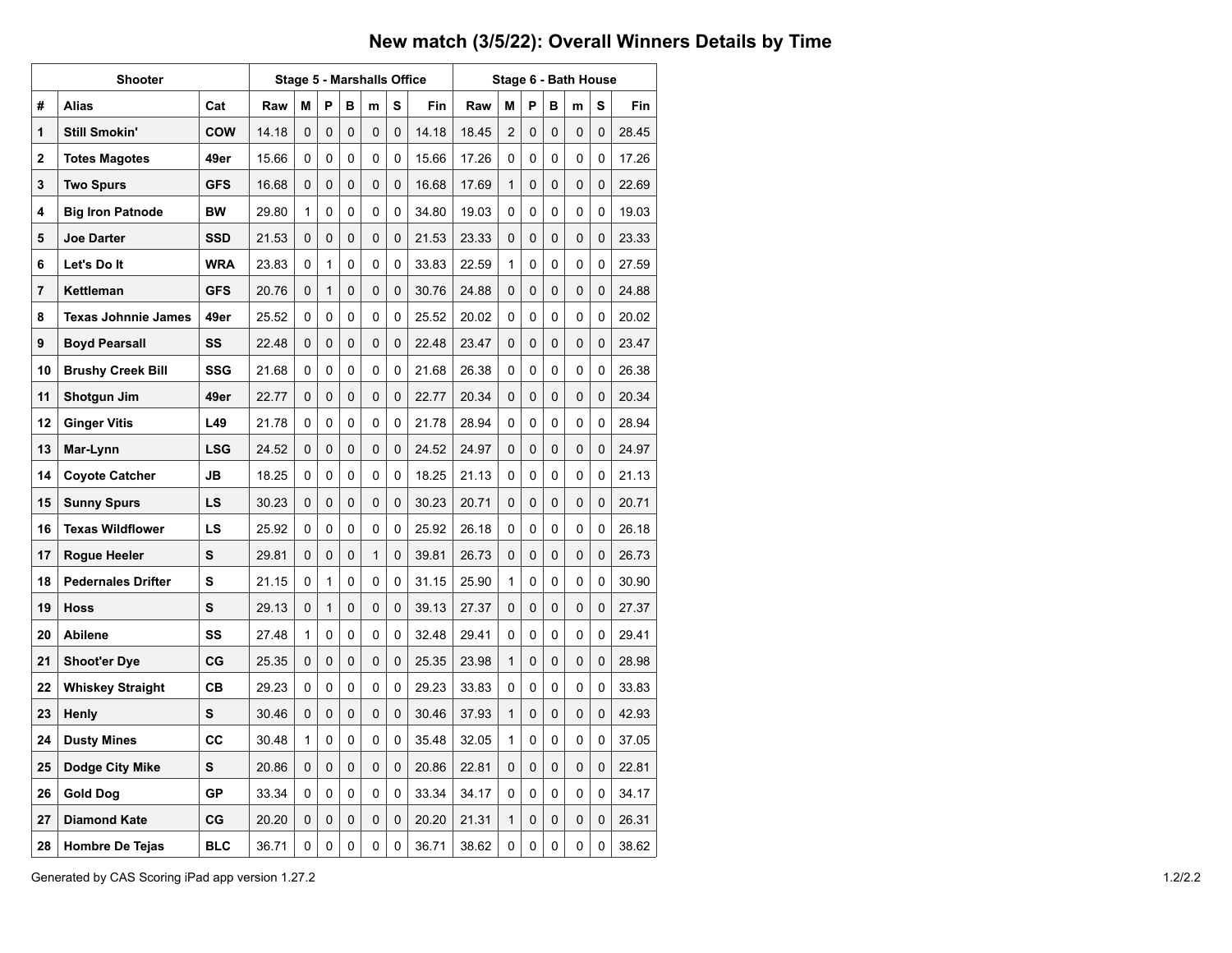## **New match (3/5/22): Overall Winners Details by Time**

|    | <b>Shooter</b>             |            |       |   |              | <b>Stage 5 - Marshalls Office</b> |   |             |       |       |                | Stage 6 - Bath House |          |   |   |       |  |
|----|----------------------------|------------|-------|---|--------------|-----------------------------------|---|-------------|-------|-------|----------------|----------------------|----------|---|---|-------|--|
| #  | <b>Alias</b>               | Cat        | Raw   | М | P            | в                                 | m | s           | Fin   | Raw   | M              | P                    | в        | m | s | Fin   |  |
| 1  | <b>Still Smokin'</b>       | <b>COW</b> | 14.18 | 0 | 0            | 0                                 | 0 | 0           | 14.18 | 18.45 | $\overline{2}$ | 0                    | 0        | 0 | 0 | 28.45 |  |
| 2  | <b>Totes Magotes</b>       | 49er       | 15.66 | 0 | 0            | 0                                 | 0 | 0           | 15.66 | 17.26 | 0              | 0                    | 0        | 0 | 0 | 17.26 |  |
| 3  | <b>Two Spurs</b>           | <b>GFS</b> | 16.68 | 0 | 0            | 0                                 | 0 | 0           | 16.68 | 17.69 | 1              | 0                    | 0        | 0 | 0 | 22.69 |  |
| 4  | <b>Big Iron Patnode</b>    | <b>BW</b>  | 29.80 | 1 | 0            | 0                                 | 0 | 0           | 34.80 | 19.03 | 0              | 0                    | 0        | 0 | 0 | 19.03 |  |
| 5  | <b>Joe Darter</b>          | SSD        | 21.53 | 0 | 0            | 0                                 | 0 | 0           | 21.53 | 23.33 | 0              | 0                    | 0        | 0 | 0 | 23.33 |  |
| 6  | Let's Do It                | <b>WRA</b> | 23.83 | 0 | 1            | 0                                 | 0 | 0           | 33.83 | 22.59 | 1              | 0                    | 0        | 0 | 0 | 27.59 |  |
| 7  | Kettleman                  | <b>GFS</b> | 20.76 | 0 | $\mathbf{1}$ | 0                                 | 0 | 0           | 30.76 | 24.88 | 0              | 0                    | 0        | 0 | 0 | 24.88 |  |
| 8  | <b>Texas Johnnie James</b> | 49er       | 25.52 | 0 | 0            | 0                                 | 0 | 0           | 25.52 | 20.02 | 0              | 0                    | 0        | 0 | 0 | 20.02 |  |
| 9  | <b>Boyd Pearsall</b>       | SS         | 22.48 | 0 | 0            | 0                                 | 0 | $\Omega$    | 22.48 | 23.47 | 0              | 0                    | 0        | 0 | 0 | 23.47 |  |
| 10 | <b>Brushy Creek Bill</b>   | SSG        | 21.68 | 0 | 0            | 0                                 | 0 | 0           | 21.68 | 26.38 | 0              | 0                    | 0        | 0 | 0 | 26.38 |  |
| 11 | Shotgun Jim                | 49er       | 22.77 | 0 | 0            | 0                                 | 0 | 0           | 22.77 | 20.34 | 0              | 0                    | 0        | 0 | 0 | 20.34 |  |
| 12 | <b>Ginger Vitis</b>        | L49        | 21.78 | 0 | 0            | 0                                 | 0 | 0           | 21.78 | 28.94 | 0              | 0                    | 0        | 0 | 0 | 28.94 |  |
| 13 | Mar-Lynn                   | LSG        | 24.52 | 0 | 0            | 0                                 | 0 | $\Omega$    | 24.52 | 24.97 | 0              | 0                    | 0        | 0 | 0 | 24.97 |  |
| 14 | <b>Coyote Catcher</b>      | JB         | 18.25 | 0 | 0            | 0                                 | 0 | 0           | 18.25 | 21.13 | 0              | 0                    | 0        | 0 | 0 | 21.13 |  |
| 15 | <b>Sunny Spurs</b>         | LS         | 30.23 | 0 | 0            | 0                                 | 0 | 0           | 30.23 | 20.71 | 0              | 0                    | 0        | 0 | 0 | 20.71 |  |
| 16 | <b>Texas Wildflower</b>    | LS         | 25.92 | 0 | 0            | 0                                 | 0 | 0           | 25.92 | 26.18 | 0              | 0                    | 0        | 0 | 0 | 26.18 |  |
| 17 | Rogue Heeler               | s          | 29.81 | 0 | 0            | 0                                 | 1 | 0           | 39.81 | 26.73 | 0              | 0                    | $\Omega$ | 0 | 0 | 26.73 |  |
| 18 | <b>Pedernales Drifter</b>  | S          | 21.15 | 0 | 1            | 0                                 | 0 | 0           | 31.15 | 25.90 | 1              | 0                    | 0        | 0 | 0 | 30.90 |  |
| 19 | <b>Hoss</b>                | S          | 29.13 | 0 | 1            | 0                                 | 0 | 0           | 39.13 | 27.37 | 0              | 0                    | 0        | 0 | 0 | 27.37 |  |
| 20 | <b>Abilene</b>             | SS         | 27.48 | 1 | 0            | 0                                 | 0 | 0           | 32.48 | 29.41 | 0              | 0                    | 0        | 0 | 0 | 29.41 |  |
| 21 | <b>Shoot'er Dye</b>        | СG         | 25.35 | 0 | 0            | 0                                 | 0 | 0           | 25.35 | 23.98 | 1              | 0                    | 0        | 0 | 0 | 28.98 |  |
| 22 | <b>Whiskey Straight</b>    | CВ         | 29.23 | 0 | 0            | 0                                 | 0 | 0           | 29.23 | 33.83 | 0              | 0                    | 0        | 0 | 0 | 33.83 |  |
| 23 | Henly                      | S          | 30.46 | 0 | 0            | 0                                 | 0 | $\mathbf 0$ | 30.46 | 37.93 | 1              | 0                    | 0        | 0 | 0 | 42.93 |  |
| 24 | <b>Dusty Mines</b>         | СC         | 30.48 | 1 | 0            | 0                                 | 0 | 0           | 35.48 | 32.05 | 1              | 0                    | 0        | 0 | 0 | 37.05 |  |
| 25 | Dodge City Mike            | s          | 20.86 | 0 | 0            | 0                                 | 0 | 0           | 20.86 | 22.81 | 0              | 0                    | 0        | 0 | 0 | 22.81 |  |
| 26 | Gold Dog                   | GP         | 33.34 | 0 | 0            | 0                                 | 0 | 0           | 33.34 | 34.17 | 0              | 0                    | 0        | 0 | 0 | 34.17 |  |
| 27 | <b>Diamond Kate</b>        | CG         | 20.20 | 0 | 0            | 0                                 | 0 | 0           | 20.20 | 21.31 | 1              | 0                    | 0        | 0 | 0 | 26.31 |  |
| 28 | <b>Hombre De Tejas</b>     | BLC        | 36.71 | 0 | 0            | 0                                 | 0 | 0           | 36.71 | 38.62 | 0              | 0                    | 0        | 0 | 0 | 38.62 |  |

Generated by CAS Scoring iPad app version 1.27.2 1.2/2.2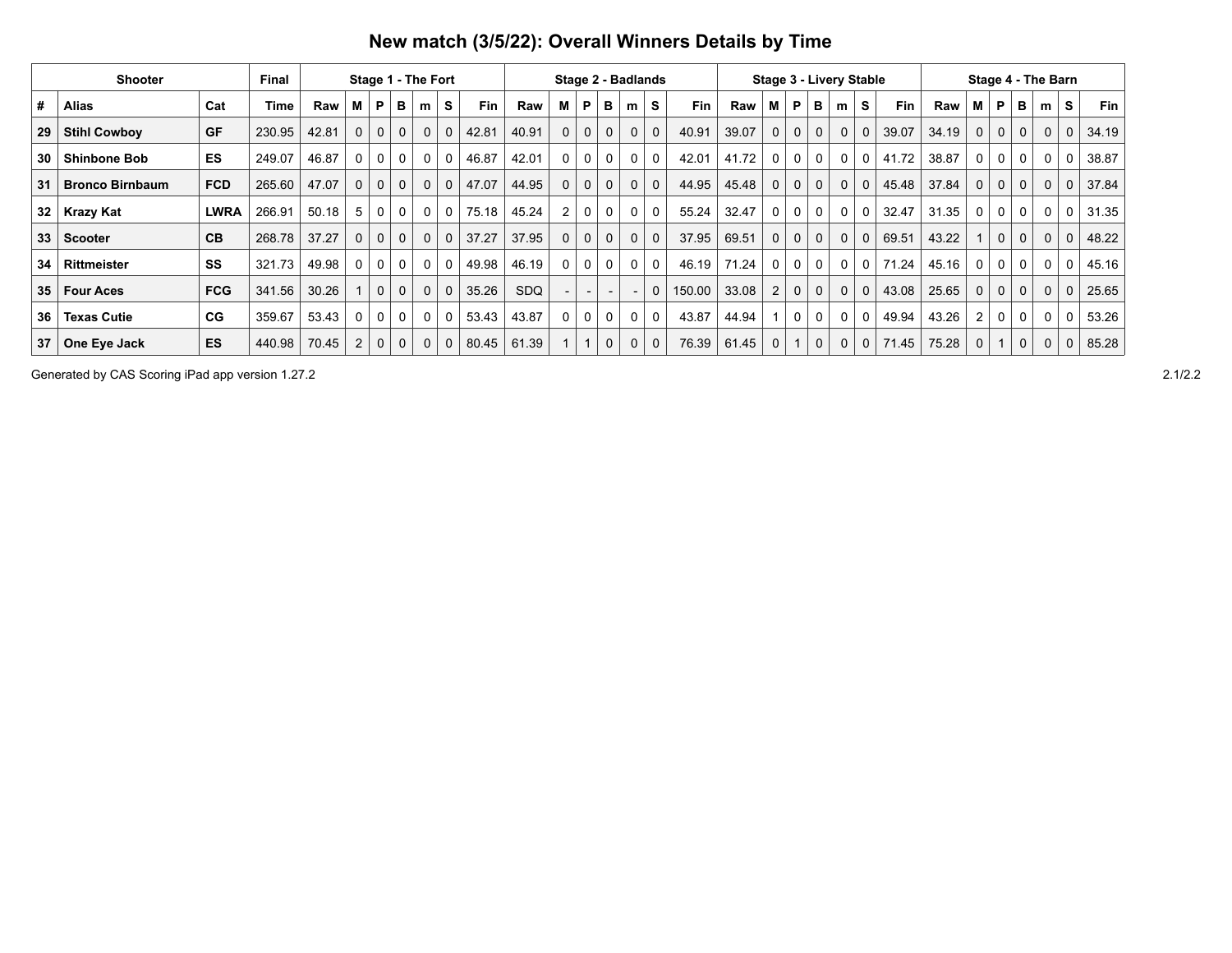| New match (3/5/22): Overall Winners Details by Time |
|-----------------------------------------------------|
|-----------------------------------------------------|

|                 | Shooter                |             | Final       |       |              |                | Stage 1 - The Fort |             |             |       |       | Stage 2 - Badlands |          |              |   |                |        |       | <b>Stage 3 - Livery Stable</b> |              |              |              |              |            |       |             |              |             | Stage 4 - The Barn |              |            |
|-----------------|------------------------|-------------|-------------|-------|--------------|----------------|--------------------|-------------|-------------|-------|-------|--------------------|----------|--------------|---|----------------|--------|-------|--------------------------------|--------------|--------------|--------------|--------------|------------|-------|-------------|--------------|-------------|--------------------|--------------|------------|
| #               | <b>Alias</b>           | Cat         | <b>Time</b> | Raw   | м            | P              | в                  | m           | s           | Fin   | Raw   | М                  | P        | в            | m | S              | Fin    | Raw   | М                              | P            | в            | m            | s            | <b>Fin</b> | Raw   | M           | P            | в           | m                  | S            | <b>Fin</b> |
| 29              | <b>Stihl Cowboy</b>    | GF          | 230.95      | 42.81 | $\mathbf{0}$ | $\mathbf{0}$   | $\mathbf{0}$       | 0           | $\mathbf 0$ | 42.81 | 40.91 | $\mathbf 0$        | 0        | $\mathbf 0$  | 0 | $\mathbf{0}$   | 40.91  | 39.07 | 0                              | $\mathbf{0}$ | $\mathbf{0}$ | $\Omega$     | 0            | 39.07      | 34.19 | $\mathbf 0$ | $\mathbf{0}$ | $\mathbf 0$ | $\mathbf{0}$       | $\mathbf{0}$ | 34.19      |
| 30              | <b>Shinbone Bob</b>    | <b>ES</b>   | 249.07      | 46.87 | 0            | 0              | 0                  | 0           | $\Omega$    | 46.87 | 42.01 | $\Omega$           | 0        | $\mathbf{0}$ | 0 | $\Omega$       | 42.01  | 41.72 | 0                              | $\Omega$     |              | $\Omega$     | 0            | 41.72      | 38.87 | $\Omega$    | 0            | 0           | 0                  | 0            | 38.87      |
| 31              | <b>Bronco Birnbaum</b> | <b>FCD</b>  | 265.60      | 47.07 | $\mathbf 0$  | $\mathbf{0}$   | $\mathbf{0}$       | $\mathbf 0$ | $\mathbf 0$ | 47.07 | 44.95 | $\mathbf 0$        | 0        | $\mathbf 0$  | 0 | $\overline{0}$ | 44.95  | 45.48 | $\mathbf 0$                    | $\mathbf{0}$ | $\mathbf{0}$ | $\mathbf{0}$ | $\mathbf{0}$ | 45.48      | 37.84 | $\mathbf 0$ | $\mathbf{0}$ | $\mathbf 0$ | $\mathbf{0}$       | $\mathbf 0$  | 37.84      |
| 32              | <b>Krazy Kat</b>       | <b>LWRA</b> | 266.91      | 50.18 | 5            | $\mathbf{0}$   | 0                  | $\mathbf 0$ | $\Omega$    | 75.18 | 45.24 | 2                  | 0        | $\mathbf{0}$ | 0 | $\mathbf 0$    | 55.24  | 32.47 | 0                              | $\mathbf{0}$ | $\Omega$     | $\Omega$     | 0            | 32.47      | 31.35 | 0           | $\mathbf 0$  | 0           | $\Omega$           | 0            | 31.35      |
| 33              | <b>Scooter</b>         | CB          | 268.78      | 37.27 | $\mathbf 0$  | $\mathbf 0$    | $\mathbf 0$        | 0           | $\mathbf 0$ | 37.27 | 37.95 | $\mathbf 0$        | 0        | $\mathbf 0$  | 0 | $\mathbf 0$    | 37.95  | 69.51 | 0                              | $\mathbf{0}$ | $\mathbf 0$  | $\mathbf{0}$ | 0            | 69.51      | 43.22 |             | $\mathbf{0}$ | $\mathbf 0$ | $\mathbf{0}$       | 0            | 48.22      |
| 34              | <b>Rittmeister</b>     | SS          | 321.73      | 49.98 | $\Omega$     | 0 <sup>1</sup> | $\mathbf 0$        | 0           | $\Omega$    | 49.98 | 46.19 | $\Omega$           | $\Omega$ | $\Omega$     | 0 | $\Omega$       | 46.19  | 71.24 | 0                              | $\Omega$     | $\mathbf{0}$ | $\Omega$     | $\Omega$     | 71.24      | 45.16 | 0           | 0            | 0           | 0                  | 0            | 45.16      |
| 35 <sub>1</sub> | <b>Four Aces</b>       | <b>FCG</b>  | 341.56      | 30.26 |              | $\mathbf{0}$   | $\mathbf{0}$       | $\mathbf 0$ | $\mathbf 0$ | 35.26 | SDQ   |                    |          |              |   | $\Omega$       | 150.00 | 33.08 | $\overline{2}$                 | $\mathbf{0}$ | $\mathbf 0$  | $\Omega$     | $\mathbf{0}$ | 43.08      | 25.65 | $\mathbf 0$ | $\mathbf{0}$ | $\mathbf 0$ | $\overline{0}$     | $\mathbf 0$  | 25.65      |
| 36              | <b>Texas Cutie</b>     | CG          | 359.67      | 53.43 | $\Omega$     | $\mathbf{0}$   | $\mathbf 0$        | 0           | 0           | 53.43 | 43.87 | $\mathbf{0}$       | 0        | 0            | 0 | $\mathbf 0$    | 43.87  | 44.94 |                                | 0            | 0            | 0            | 0            | 49.94      | 43.26 | 2           | 0            | 0           | 0                  | 0            | 53.26      |
| 37              | One Eye Jack           | <b>ES</b>   | 440.98      | 70.45 | 2            | 0              | $\mathbf 0$        | 0           | $\mathbf 0$ | 80.45 | 61.39 |                    |          | 0            | 0 | $\mathbf 0$    | 76.39  | 61.45 | 0                              |              | 0            | $\Omega$     | $\Omega$     | 71.45      | 75.28 |             |              | $\mathbf 0$ | $\Omega$           | 0            | 85.28      |

Generated by CAS Scoring iPad app version 1.27.2 2.1/2.2